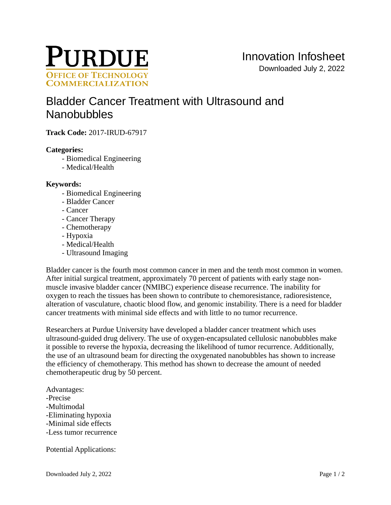

# [Bladder Cancer Treatment with Ultrasound and](https://inventions.prf.org/innovation/6493)  **[Nanobubbles](https://inventions.prf.org/innovation/6493)**

**Track Code:** 2017-IRUD-67917

# **Categories:**

- Biomedical Engineering
- Medical/Health

### **Keywords:**

- Biomedical Engineering
- Bladder Cancer
- Cancer
- Cancer Therapy
- Chemotherapy
- Hypoxia
- Medical/Health
- Ultrasound Imaging

Bladder cancer is the fourth most common cancer in men and the tenth most common in women. After initial surgical treatment, approximately 70 percent of patients with early stage nonmuscle invasive bladder cancer (NMIBC) experience disease recurrence. The inability for oxygen to reach the tissues has been shown to contribute to chemoresistance, radioresistence, alteration of vasculature, chaotic blood flow, and genomic instability. There is a need for bladder cancer treatments with minimal side effects and with little to no tumor recurrence.

Researchers at Purdue University have developed a bladder cancer treatment which uses ultrasound-guided drug delivery. The use of oxygen-encapsulated cellulosic nanobubbles make it possible to reverse the hypoxia, decreasing the likelihood of tumor recurrence. Additionally, the use of an ultrasound beam for directing the oxygenated nanobubbles has shown to increase the efficiency of chemotherapy. This method has shown to decrease the amount of needed chemotherapeutic drug by 50 percent.

Advantages: -Precise -Multimodal -Eliminating hypoxia -Minimal side effects -Less tumor recurrence

Potential Applications: